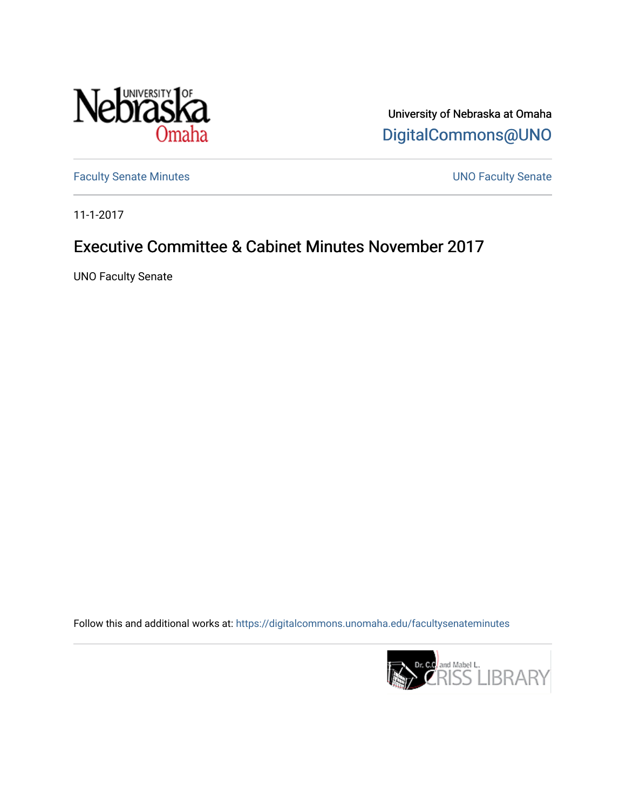

University of Nebraska at Omaha [DigitalCommons@UNO](https://digitalcommons.unomaha.edu/) 

[Faculty Senate Minutes](https://digitalcommons.unomaha.edu/facultysenateminutes) **Exercise Senate UNO Faculty Senate** 

11-1-2017

# Executive Committee & Cabinet Minutes November 2017

UNO Faculty Senate

Follow this and additional works at: [https://digitalcommons.unomaha.edu/facultysenateminutes](https://digitalcommons.unomaha.edu/facultysenateminutes?utm_source=digitalcommons.unomaha.edu%2Ffacultysenateminutes%2F112&utm_medium=PDF&utm_campaign=PDFCoverPages) 

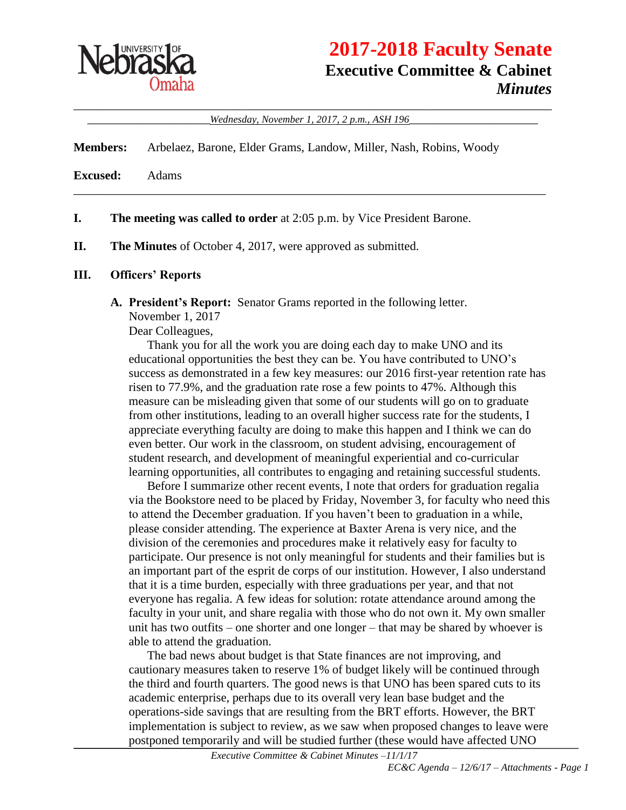

# **2017-2018 Faculty Senate Executive Committee & Cabinet** *Minutes*

\_\_\_\_\_\_\_\_\_\_\_\_\_\_\_\_\_\_\_\_\_\_\_\_\_\_\_\_\_\_\_\_\_\_\_\_\_\_\_\_\_\_\_\_\_\_\_\_\_\_\_\_\_\_\_\_\_\_\_\_\_\_\_\_\_\_\_\_\_\_\_\_\_\_\_\_\_\_ \_\_\_\_\_\_\_\_\_\_\_\_\_\_\_\_\_\_\_\_*Wednesday, November 1, 2017, 2 p.m., ASH 196*\_\_\_\_\_\_\_\_\_\_\_\_\_\_\_\_\_\_\_\_\_

\_\_\_\_\_\_\_\_\_\_\_\_\_\_\_\_\_\_\_\_\_\_\_\_\_\_\_\_\_\_\_\_\_\_\_\_\_\_\_\_\_\_\_\_\_\_\_\_\_\_\_\_\_\_\_\_\_\_\_\_\_\_\_\_\_\_\_\_\_\_\_\_\_\_\_\_\_

**Members:** Arbelaez, Barone, Elder Grams, Landow, Miller, Nash, Robins, Woody

**Excused:** Adams

**I. The meeting was called to order** at 2:05 p.m. by Vice President Barone.

**II. The Minutes** of October 4, 2017, were approved as submitted.

### **III. Officers' Reports**

**A. President's Report:** Senator Grams reported in the following letter.

November 1, 2017

Dear Colleagues,

Thank you for all the work you are doing each day to make UNO and its educational opportunities the best they can be. You have contributed to UNO's success as demonstrated in a few key measures: our 2016 first-year retention rate has risen to 77.9%, and the graduation rate rose a few points to 47%. Although this measure can be misleading given that some of our students will go on to graduate from other institutions, leading to an overall higher success rate for the students, I appreciate everything faculty are doing to make this happen and I think we can do even better. Our work in the classroom, on student advising, encouragement of student research, and development of meaningful experiential and co-curricular learning opportunities, all contributes to engaging and retaining successful students.

Before I summarize other recent events, I note that orders for graduation regalia via the Bookstore need to be placed by Friday, November 3, for faculty who need this to attend the December graduation. If you haven't been to graduation in a while, please consider attending. The experience at Baxter Arena is very nice, and the division of the ceremonies and procedures make it relatively easy for faculty to participate. Our presence is not only meaningful for students and their families but is an important part of the esprit de corps of our institution. However, I also understand that it is a time burden, especially with three graduations per year, and that not everyone has regalia. A few ideas for solution: rotate attendance around among the faculty in your unit, and share regalia with those who do not own it. My own smaller unit has two outfits – one shorter and one longer – that may be shared by whoever is able to attend the graduation.

The bad news about budget is that State finances are not improving, and cautionary measures taken to reserve 1% of budget likely will be continued through the third and fourth quarters. The good news is that UNO has been spared cuts to its academic enterprise, perhaps due to its overall very lean base budget and the operations-side savings that are resulting from the BRT efforts. However, the BRT implementation is subject to review, as we saw when proposed changes to leave were postponed temporarily and will be studied further (these would have affected UNO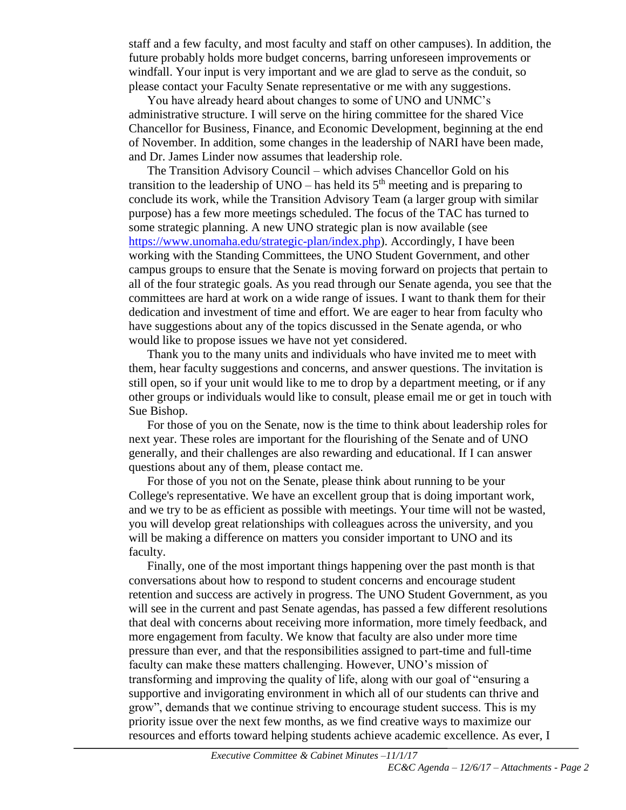staff and a few faculty, and most faculty and staff on other campuses). In addition, the future probably holds more budget concerns, barring unforeseen improvements or windfall. Your input is very important and we are glad to serve as the conduit, so please contact your Faculty Senate representative or me with any suggestions.

You have already heard about changes to some of UNO and UNMC's administrative structure. I will serve on the hiring committee for the shared Vice Chancellor for Business, Finance, and Economic Development, beginning at the end of November. In addition, some changes in the leadership of NARI have been made, and Dr. James Linder now assumes that leadership role.

The Transition Advisory Council – which advises Chancellor Gold on his transition to the leadership of UNO – has held its  $5<sup>th</sup>$  meeting and is preparing to conclude its work, while the Transition Advisory Team (a larger group with similar purpose) has a few more meetings scheduled. The focus of the TAC has turned to some strategic planning. A new UNO strategic plan is now available (see [https://www.unomaha.edu/strategic-plan/index.php\)](https://www.unomaha.edu/strategic-plan/index.php). Accordingly, I have been working with the Standing Committees, the UNO Student Government, and other campus groups to ensure that the Senate is moving forward on projects that pertain to all of the four strategic goals. As you read through our Senate agenda, you see that the committees are hard at work on a wide range of issues. I want to thank them for their dedication and investment of time and effort. We are eager to hear from faculty who have suggestions about any of the topics discussed in the Senate agenda, or who would like to propose issues we have not yet considered.

Thank you to the many units and individuals who have invited me to meet with them, hear faculty suggestions and concerns, and answer questions. The invitation is still open, so if your unit would like to me to drop by a department meeting, or if any other groups or individuals would like to consult, please email me or get in touch with Sue Bishop.

For those of you on the Senate, now is the time to think about leadership roles for next year. These roles are important for the flourishing of the Senate and of UNO generally, and their challenges are also rewarding and educational. If I can answer questions about any of them, please contact me.

For those of you not on the Senate, please think about running to be your College's representative. We have an excellent group that is doing important work, and we try to be as efficient as possible with meetings. Your time will not be wasted, you will develop great relationships with colleagues across the university, and you will be making a difference on matters you consider important to UNO and its faculty.

Finally, one of the most important things happening over the past month is that conversations about how to respond to student concerns and encourage student retention and success are actively in progress. The UNO Student Government, as you will see in the current and past Senate agendas, has passed a few different resolutions that deal with concerns about receiving more information, more timely feedback, and more engagement from faculty. We know that faculty are also under more time pressure than ever, and that the responsibilities assigned to part-time and full-time faculty can make these matters challenging. However, UNO's mission of transforming and improving the quality of life, along with our goal of "ensuring a supportive and invigorating environment in which all of our students can thrive and grow", demands that we continue striving to encourage student success. This is my priority issue over the next few months, as we find creative ways to maximize our resources and efforts toward helping students achieve academic excellence. As ever, I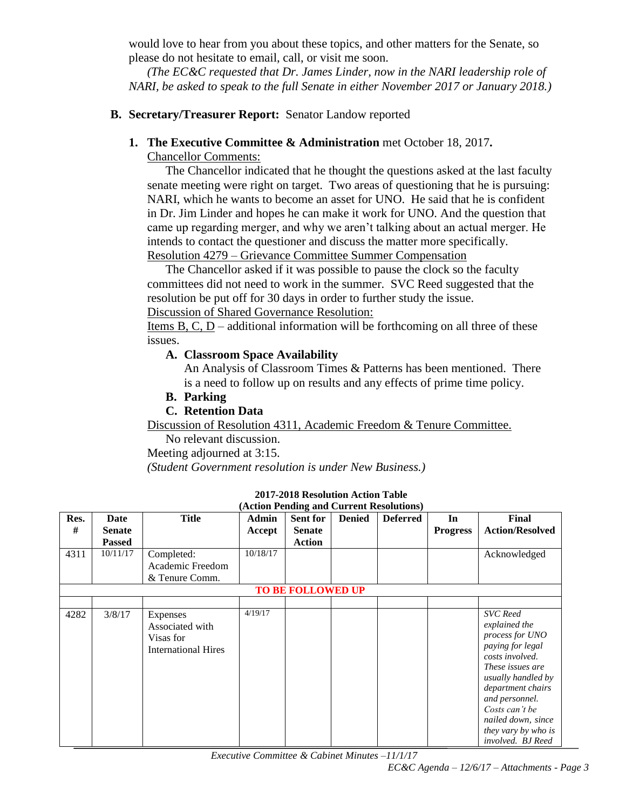would love to hear from you about these topics, and other matters for the Senate, so please do not hesitate to email, call, or visit me soon.

*(The EC&C requested that Dr. James Linder, now in the NARI leadership role of NARI, be asked to speak to the full Senate in either November 2017 or January 2018.)*

# **B. Secretary/Treasurer Report:** Senator Landow reported

### **1. The Executive Committee & Administration** met October 18, 2017**.**

Chancellor Comments:

The Chancellor indicated that he thought the questions asked at the last faculty senate meeting were right on target. Two areas of questioning that he is pursuing: NARI, which he wants to become an asset for UNO. He said that he is confident in Dr. Jim Linder and hopes he can make it work for UNO. And the question that came up regarding merger, and why we aren't talking about an actual merger. He intends to contact the questioner and discuss the matter more specifically. Resolution 4279 – Grievance Committee Summer Compensation

The Chancellor asked if it was possible to pause the clock so the faculty committees did not need to work in the summer. SVC Reed suggested that the resolution be put off for 30 days in order to further study the issue.

### Discussion of Shared Governance Resolution:

Items B, C,  $D$  – additional information will be forthcoming on all three of these issues.

### **A. Classroom Space Availability**

An Analysis of Classroom Times & Patterns has been mentioned. There is a need to follow up on results and any effects of prime time policy.

### **B. Parking**

# **C. Retention Data**

Discussion of Resolution 4311, Academic Freedom & Tenure Committee.

No relevant discussion.

Meeting adjourned at 3:15.

*(Student Government resolution is under New Business.)*

| Res. | Date          | <b>Title</b>                                                           | <b>Admin</b> | Sent for                 | <b>Denied</b> | <b>Deferred</b> | In              | <b>Final</b>                                                                                                                                                                                                                                                    |
|------|---------------|------------------------------------------------------------------------|--------------|--------------------------|---------------|-----------------|-----------------|-----------------------------------------------------------------------------------------------------------------------------------------------------------------------------------------------------------------------------------------------------------------|
| #    | <b>Senate</b> |                                                                        | Accept       | <b>Senate</b>            |               |                 | <b>Progress</b> | <b>Action/Resolved</b>                                                                                                                                                                                                                                          |
|      | <b>Passed</b> |                                                                        |              | <b>Action</b>            |               |                 |                 |                                                                                                                                                                                                                                                                 |
| 4311 | 10/11/17      | Completed:                                                             | 10/18/17     |                          |               |                 |                 | Acknowledged                                                                                                                                                                                                                                                    |
|      |               | Academic Freedom                                                       |              |                          |               |                 |                 |                                                                                                                                                                                                                                                                 |
|      |               | & Tenure Comm.                                                         |              |                          |               |                 |                 |                                                                                                                                                                                                                                                                 |
|      |               |                                                                        |              | <b>TO BE FOLLOWED UP</b> |               |                 |                 |                                                                                                                                                                                                                                                                 |
|      |               |                                                                        |              |                          |               |                 |                 |                                                                                                                                                                                                                                                                 |
| 4282 | 3/8/17        | Expenses<br>Associated with<br>Visas for<br><b>International Hires</b> | 4/19/17      |                          |               |                 |                 | <b>SVC</b> Reed<br>explained the<br>process for UNO<br>paying for legal<br>costs involved.<br>These issues are<br>usually handled by<br>department chairs<br>and personnel.<br>Costs can't be<br>nailed down, since<br>they vary by who is<br>involved. BJ Reed |

#### **2017-2018 Resolution Action Table (Action Pending and Current Resolutions)**

*Executive Committee & Cabinet Minutes –11/1/17*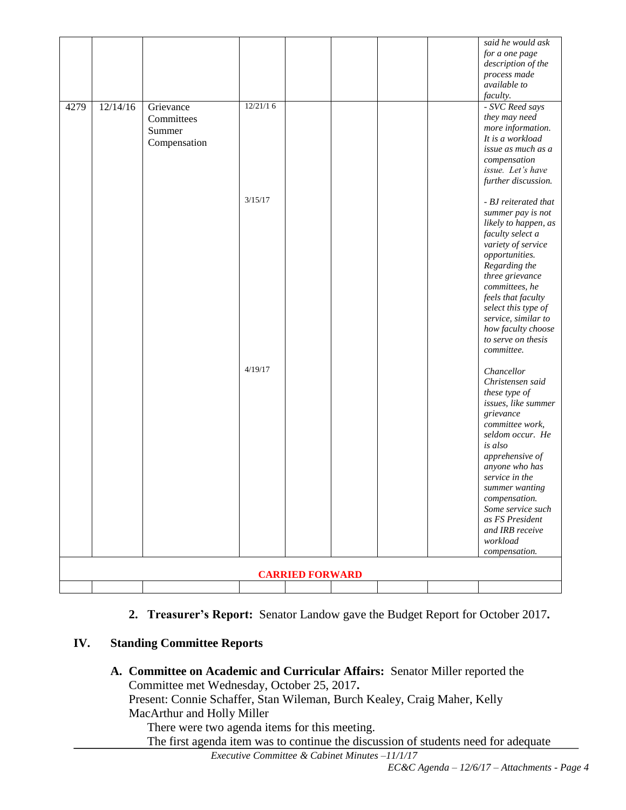|                        |          |              |          |  |  |  | said he would ask                        |
|------------------------|----------|--------------|----------|--|--|--|------------------------------------------|
|                        |          |              |          |  |  |  | for a one page                           |
|                        |          |              |          |  |  |  | description of the                       |
|                        |          |              |          |  |  |  | process made<br>available to             |
|                        |          |              |          |  |  |  | faculty.                                 |
| 4279                   | 12/14/16 | Grievance    | 12/21/16 |  |  |  | - SVC Reed says                          |
|                        |          | Committees   |          |  |  |  | they may need                            |
|                        |          | Summer       |          |  |  |  | more information.                        |
|                        |          |              |          |  |  |  | It is a workload                         |
|                        |          | Compensation |          |  |  |  | issue as much as a                       |
|                        |          |              |          |  |  |  | compensation                             |
|                        |          |              |          |  |  |  | issue. Let's have                        |
|                        |          |              |          |  |  |  | further discussion.                      |
|                        |          |              | 3/15/17  |  |  |  |                                          |
|                        |          |              |          |  |  |  | - BJ reiterated that                     |
|                        |          |              |          |  |  |  | summer pay is not                        |
|                        |          |              |          |  |  |  | likely to happen, as<br>faculty select a |
|                        |          |              |          |  |  |  | variety of service                       |
|                        |          |              |          |  |  |  | opportunities.                           |
|                        |          |              |          |  |  |  | Regarding the                            |
|                        |          |              |          |  |  |  | three grievance                          |
|                        |          |              |          |  |  |  | committees, he                           |
|                        |          |              |          |  |  |  | feels that faculty                       |
|                        |          |              |          |  |  |  | select this type of                      |
|                        |          |              |          |  |  |  | service, similar to                      |
|                        |          |              |          |  |  |  | how faculty choose                       |
|                        |          |              |          |  |  |  | to serve on thesis<br>committee.         |
|                        |          |              |          |  |  |  |                                          |
|                        |          |              | 4/19/17  |  |  |  | Chancellor                               |
|                        |          |              |          |  |  |  | Christensen said                         |
|                        |          |              |          |  |  |  | these type of                            |
|                        |          |              |          |  |  |  | issues, like summer                      |
|                        |          |              |          |  |  |  | grievance                                |
|                        |          |              |          |  |  |  | committee work,                          |
|                        |          |              |          |  |  |  | seldom occur. He                         |
|                        |          |              |          |  |  |  | is also                                  |
|                        |          |              |          |  |  |  | apprehensive of                          |
|                        |          |              |          |  |  |  | anyone who has<br>service in the         |
|                        |          |              |          |  |  |  | summer wanting                           |
|                        |          |              |          |  |  |  | compensation.                            |
|                        |          |              |          |  |  |  | Some service such                        |
|                        |          |              |          |  |  |  | as FS President                          |
|                        |          |              |          |  |  |  | and IRB receive                          |
|                        |          |              |          |  |  |  | workload                                 |
|                        |          |              |          |  |  |  | compensation.                            |
|                        |          |              |          |  |  |  |                                          |
| <b>CARRIED FORWARD</b> |          |              |          |  |  |  |                                          |
|                        |          |              |          |  |  |  |                                          |

# **2. Treasurer's Report:** Senator Landow gave the Budget Report for October 2017**.**

# **IV. Standing Committee Reports**

**A. Committee on Academic and Curricular Affairs:** Senator Miller reported the Committee met Wednesday, October 25, 2017**.**  Present: Connie Schaffer, Stan Wileman, Burch Kealey, Craig Maher, Kelly MacArthur and Holly Miller There were two agenda items for this meeting.

The first agenda item was to continue the discussion of students need for adequate

*Executive Committee & Cabinet Minutes –11/1/17*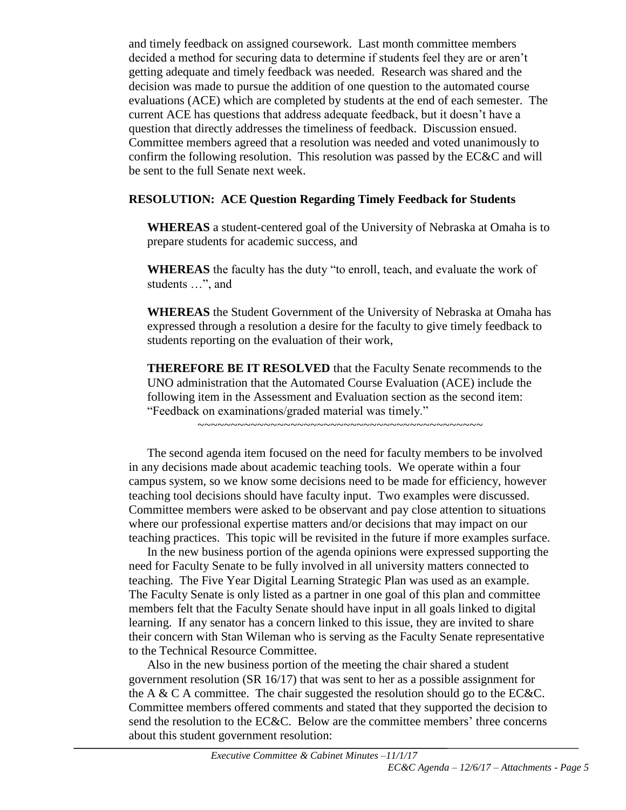and timely feedback on assigned coursework. Last month committee members decided a method for securing data to determine if students feel they are or aren't getting adequate and timely feedback was needed. Research was shared and the decision was made to pursue the addition of one question to the automated course evaluations (ACE) which are completed by students at the end of each semester. The current ACE has questions that address adequate feedback, but it doesn't have a question that directly addresses the timeliness of feedback. Discussion ensued. Committee members agreed that a resolution was needed and voted unanimously to confirm the following resolution. This resolution was passed by the EC&C and will be sent to the full Senate next week.

# **RESOLUTION: ACE Question Regarding Timely Feedback for Students**

**WHEREAS** a student-centered goal of the University of Nebraska at Omaha is to prepare students for academic success, and

**WHEREAS** the faculty has the duty "to enroll, teach, and evaluate the work of students …", and

**WHEREAS** the Student Government of the University of Nebraska at Omaha has expressed through a resolution a desire for the faculty to give timely feedback to students reporting on the evaluation of their work,

**THEREFORE BE IT RESOLVED** that the Faculty Senate recommends to the UNO administration that the Automated Course Evaluation (ACE) include the following item in the Assessment and Evaluation section as the second item: "Feedback on examinations/graded material was timely."

~~~~~~~~~~~~~~~~~~~~~~~~~~~~~~~~~~~~~~~~~~~

The second agenda item focused on the need for faculty members to be involved in any decisions made about academic teaching tools. We operate within a four campus system, so we know some decisions need to be made for efficiency, however teaching tool decisions should have faculty input. Two examples were discussed. Committee members were asked to be observant and pay close attention to situations where our professional expertise matters and/or decisions that may impact on our teaching practices. This topic will be revisited in the future if more examples surface.

In the new business portion of the agenda opinions were expressed supporting the need for Faculty Senate to be fully involved in all university matters connected to teaching. The Five Year Digital Learning Strategic Plan was used as an example. The Faculty Senate is only listed as a partner in one goal of this plan and committee members felt that the Faculty Senate should have input in all goals linked to digital learning. If any senator has a concern linked to this issue, they are invited to share their concern with Stan Wileman who is serving as the Faculty Senate representative to the Technical Resource Committee.

Also in the new business portion of the meeting the chair shared a student government resolution (SR 16/17) that was sent to her as a possible assignment for the A & C A committee. The chair suggested the resolution should go to the EC&C. Committee members offered comments and stated that they supported the decision to send the resolution to the EC&C. Below are the committee members' three concerns about this student government resolution: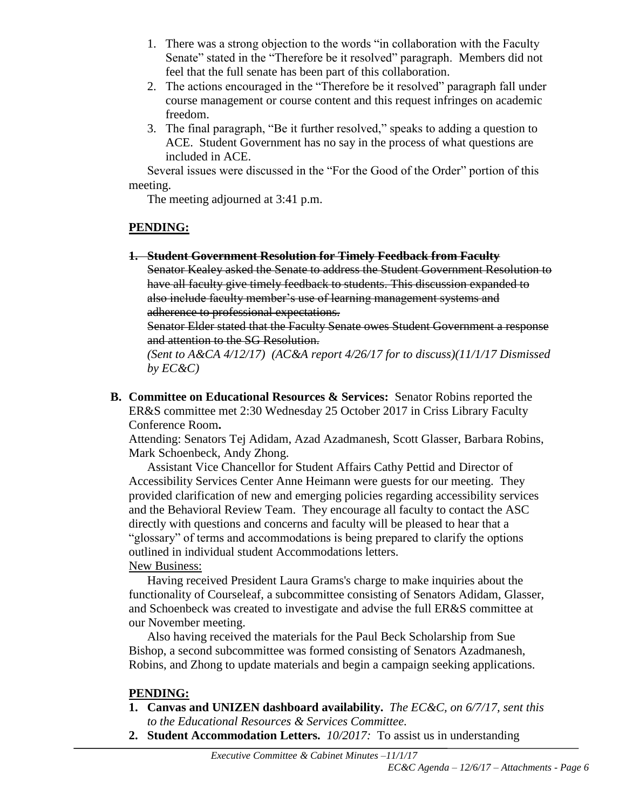- 1. There was a strong objection to the words "in collaboration with the Faculty Senate" stated in the "Therefore be it resolved" paragraph. Members did not feel that the full senate has been part of this collaboration.
- 2. The actions encouraged in the "Therefore be it resolved" paragraph fall under course management or course content and this request infringes on academic freedom.
- 3. The final paragraph, "Be it further resolved," speaks to adding a question to ACE. Student Government has no say in the process of what questions are included in ACE.

Several issues were discussed in the "For the Good of the Order" portion of this meeting.

The meeting adjourned at 3:41 p.m.

# **PENDING:**

**1. Student Government Resolution for Timely Feedback from Faculty**

Senator Kealey asked the Senate to address the Student Government Resolution to have all faculty give timely feedback to students. This discussion expanded to also include faculty member's use of learning management systems and adherence to professional expectations.

Senator Elder stated that the Faculty Senate owes Student Government a response and attention to the SG Resolution.

*(Sent to A&CA 4/12/17) (AC&A report 4/26/17 for to discuss)(11/1/17 Dismissed by EC&C)*

**B. Committee on Educational Resources & Services:** Senator Robins reported the ER&S committee met 2:30 Wednesday 25 October 2017 in Criss Library Faculty Conference Room**.** 

Attending: Senators Tej Adidam, Azad Azadmanesh, Scott Glasser, Barbara Robins, Mark Schoenbeck, Andy Zhong.

Assistant Vice Chancellor for Student Affairs Cathy Pettid and Director of Accessibility Services Center Anne Heimann were guests for our meeting. They provided clarification of new and emerging policies regarding accessibility services and the Behavioral Review Team. They encourage all faculty to contact the ASC directly with questions and concerns and faculty will be pleased to hear that a "glossary" of terms and accommodations is being prepared to clarify the options outlined in individual student Accommodations letters. New Business:

Having received President Laura Grams's charge to make inquiries about the functionality of Courseleaf, a subcommittee consisting of Senators Adidam, Glasser, and Schoenbeck was created to investigate and advise the full ER&S committee at our November meeting.

Also having received the materials for the Paul Beck Scholarship from Sue Bishop, a second subcommittee was formed consisting of Senators Azadmanesh, Robins, and Zhong to update materials and begin a campaign seeking applications.

# **PENDING:**

- **1. Canvas and UNIZEN dashboard availability.** *The EC&C, on 6/7/17, sent this to the Educational Resources & Services Committee.*
- **2. Student Accommodation Letters.** *10/2017:* To assist us in understanding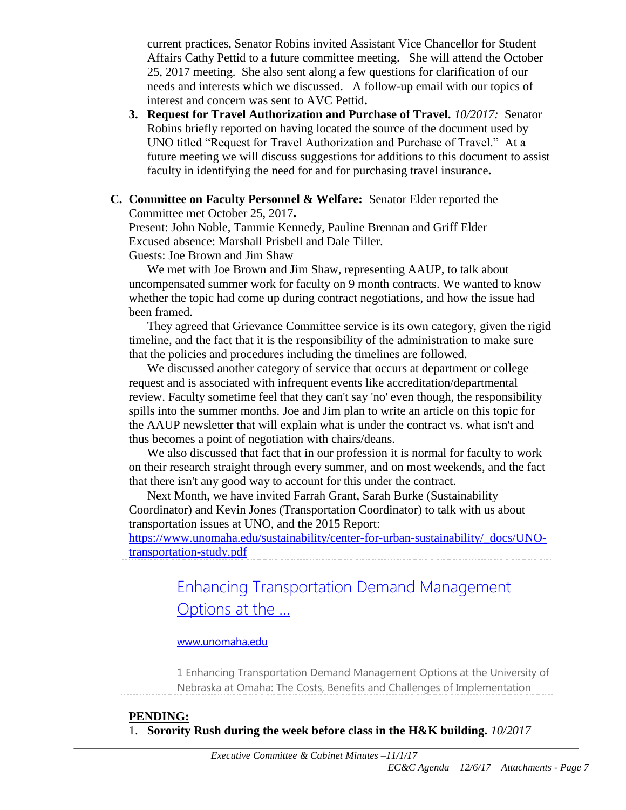current practices, Senator Robins invited Assistant Vice Chancellor for Student Affairs Cathy Pettid to a future committee meeting. She will attend the October 25, 2017 meeting. She also sent along a few questions for clarification of our needs and interests which we discussed. A follow-up email with our topics of interest and concern was sent to AVC Pettid**.** 

- **3. Request for Travel Authorization and Purchase of Travel.** *10/2017:* Senator Robins briefly reported on having located the source of the document used by UNO titled "Request for Travel Authorization and Purchase of Travel." At a future meeting we will discuss suggestions for additions to this document to assist faculty in identifying the need for and for purchasing travel insurance**.**
- **C. Committee on Faculty Personnel & Welfare:** Senator Elder reported the Committee met October 25, 2017**.**

Present: John Noble, Tammie Kennedy, Pauline Brennan and Griff Elder Excused absence: Marshall Prisbell and Dale Tiller.

Guests: Joe Brown and Jim Shaw

We met with Joe Brown and Jim Shaw, representing AAUP, to talk about uncompensated summer work for faculty on 9 month contracts. We wanted to know whether the topic had come up during contract negotiations, and how the issue had been framed.

They agreed that Grievance Committee service is its own category, given the rigid timeline, and the fact that it is the responsibility of the administration to make sure that the policies and procedures including the timelines are followed.

We discussed another category of service that occurs at department or college request and is associated with infrequent events like accreditation/departmental review. Faculty sometime feel that they can't say 'no' even though, the responsibility spills into the summer months. Joe and Jim plan to write an article on this topic for the AAUP newsletter that will explain what is under the contract vs. what isn't and thus becomes a point of negotiation with chairs/deans.

We also discussed that fact that in our profession it is normal for faculty to work on their research straight through every summer, and on most weekends, and the fact that there isn't any good way to account for this under the contract.

Next Month, we have invited Farrah Grant, Sarah Burke (Sustainability Coordinator) and Kevin Jones (Transportation Coordinator) to talk with us about transportation issues at UNO, and the 2015 Report:

[https://www.unomaha.edu/sustainability/center-for-urban-sustainability/\\_docs/UNO](https://www.unomaha.edu/sustainability/center-for-urban-sustainability/_docs/UNO-transportation-study.pdf)[transportation-study.pdf](https://www.unomaha.edu/sustainability/center-for-urban-sustainability/_docs/UNO-transportation-study.pdf)

# [Enhancing Transportation Demand Management](https://www.unomaha.edu/sustainability/center-for-urban-sustainability/_docs/UNO-transportation-study.pdf)  [Options at the ...](https://www.unomaha.edu/sustainability/center-for-urban-sustainability/_docs/UNO-transportation-study.pdf)

# [www.unomaha.edu](http://www.unomaha.edu/)

1 Enhancing Transportation Demand Management Options at the University of Nebraska at Omaha: The Costs, Benefits and Challenges of Implementation

# **PENDING:** 1. **Sorority Rush during the week before class in the H&K building.** *10/2017*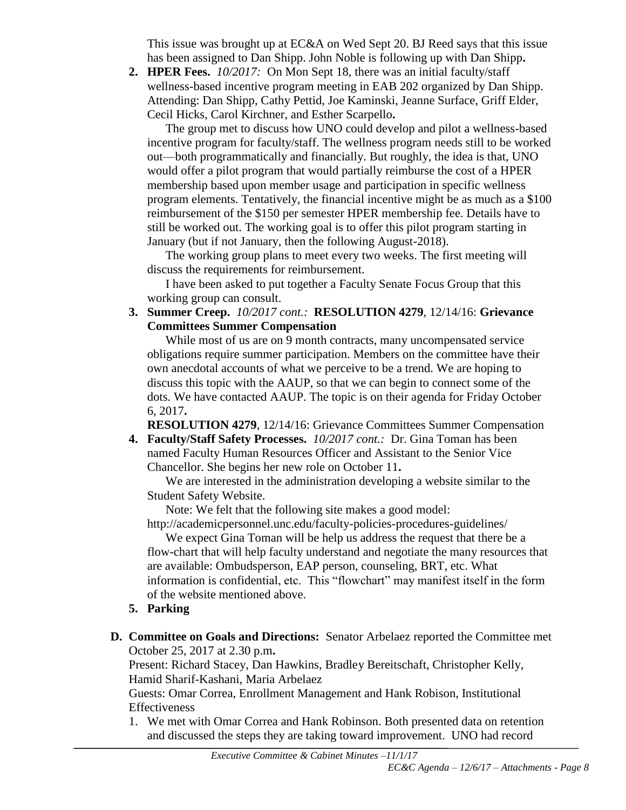This issue was brought up at EC&A on Wed Sept 20. BJ Reed says that this issue has been assigned to Dan Shipp. John Noble is following up with Dan Shipp**.**

**2. HPER Fees.** *10/2017:*On Mon Sept 18, there was an initial faculty/staff wellness-based incentive program meeting in EAB 202 organized by Dan Shipp. Attending: Dan Shipp, Cathy Pettid, Joe Kaminski, Jeanne Surface, Griff Elder, Cecil Hicks, Carol Kirchner, and Esther Scarpello**.**

The group met to discuss how UNO could develop and pilot a wellness-based incentive program for faculty/staff. The wellness program needs still to be worked out—both programmatically and financially. But roughly, the idea is that, UNO would offer a pilot program that would partially reimburse the cost of a HPER membership based upon member usage and participation in specific wellness program elements. Tentatively, the financial incentive might be as much as a \$100 reimbursement of the \$150 per semester HPER membership fee. Details have to still be worked out. The working goal is to offer this pilot program starting in January (but if not January, then the following August-2018).

The working group plans to meet every two weeks. The first meeting will discuss the requirements for reimbursement.

I have been asked to put together a Faculty Senate Focus Group that this working group can consult.

**3. Summer Creep.** *10/2017 cont.:* **RESOLUTION 4279**, 12/14/16: **Grievance Committees Summer Compensation**

While most of us are on 9 month contracts, many uncompensated service obligations require summer participation. Members on the committee have their own anecdotal accounts of what we perceive to be a trend. We are hoping to discuss this topic with the AAUP, so that we can begin to connect some of the dots. We have contacted AAUP. The topic is on their agenda for Friday October 6, 2017**.**

**RESOLUTION 4279**, 12/14/16: Grievance Committees Summer Compensation

**4. Faculty/Staff Safety Processes.** *10/2017 cont.:* Dr. Gina Toman has been named Faculty Human Resources Officer and Assistant to the Senior Vice Chancellor. She begins her new role on October 11**.**

We are interested in the administration developing a website similar to the Student Safety Website.

Note: We felt that the following site makes a good model: http://academicpersonnel.unc.edu/faculty-policies-procedures-guidelines/

We expect Gina Toman will be help us address the request that there be a flow-chart that will help faculty understand and negotiate the many resources that are available: Ombudsperson, EAP person, counseling, BRT, etc. What information is confidential, etc. This "flowchart" may manifest itself in the form of the website mentioned above.

- **5. Parking**
- **D. Committee on Goals and Directions:** Senator Arbelaez reported the Committee met October 25, 2017 at 2.30 p.m**.**

Present: Richard Stacey, Dan Hawkins, Bradley Bereitschaft, Christopher Kelly, Hamid Sharif-Kashani, Maria Arbelaez

Guests: Omar Correa, Enrollment Management and Hank Robison, Institutional **Effectiveness** 

1. We met with Omar Correa and Hank Robinson. Both presented data on retention and discussed the steps they are taking toward improvement. UNO had record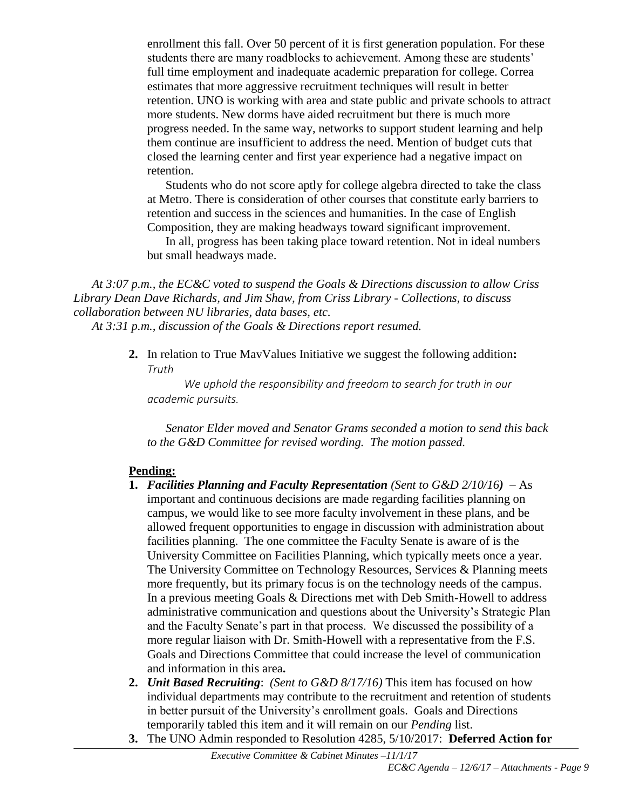enrollment this fall. Over 50 percent of it is first generation population. For these students there are many roadblocks to achievement. Among these are students' full time employment and inadequate academic preparation for college. Correa estimates that more aggressive recruitment techniques will result in better retention. UNO is working with area and state public and private schools to attract more students. New dorms have aided recruitment but there is much more progress needed. In the same way, networks to support student learning and help them continue are insufficient to address the need. Mention of budget cuts that closed the learning center and first year experience had a negative impact on retention.

Students who do not score aptly for college algebra directed to take the class at Metro. There is consideration of other courses that constitute early barriers to retention and success in the sciences and humanities. In the case of English Composition, they are making headways toward significant improvement.

In all, progress has been taking place toward retention. Not in ideal numbers but small headways made.

*At 3:07 p.m., the EC&C voted to suspend the Goals & Directions discussion to allow Criss Library Dean Dave Richards, and Jim Shaw, from Criss Library - Collections, to discuss collaboration between NU libraries, data bases, etc.* 

*At 3:31 p.m., discussion of the Goals & Directions report resumed.*

**2.** In relation to True MavValues Initiative we suggest the following addition**:** *Truth*

*We uphold the responsibility and freedom to search for truth in our academic pursuits.*

*Senator Elder moved and Senator Grams seconded a motion to send this back to the G&D Committee for revised wording. The motion passed.*

# **Pending:**

- **1.** *Facilities Planning and Faculty Representation (Sent to G&D 2/10/16)* As important and continuous decisions are made regarding facilities planning on campus, we would like to see more faculty involvement in these plans, and be allowed frequent opportunities to engage in discussion with administration about facilities planning. The one committee the Faculty Senate is aware of is the University Committee on Facilities Planning, which typically meets once a year. The University Committee on Technology Resources, Services & Planning meets more frequently, but its primary focus is on the technology needs of the campus. In a previous meeting Goals & Directions met with Deb Smith-Howell to address administrative communication and questions about the University's Strategic Plan and the Faculty Senate's part in that process. We discussed the possibility of a more regular liaison with Dr. Smith-Howell with a representative from the F.S. Goals and Directions Committee that could increase the level of communication and information in this area**.**
- **2.** *Unit Based Recruiting*: *(Sent to G&D 8/17/16)* This item has focused on how individual departments may contribute to the recruitment and retention of students in better pursuit of the University's enrollment goals. Goals and Directions temporarily tabled this item and it will remain on our *Pending* list.
- **3.** The UNO Admin responded to Resolution 4285, 5/10/2017: **Deferred Action for**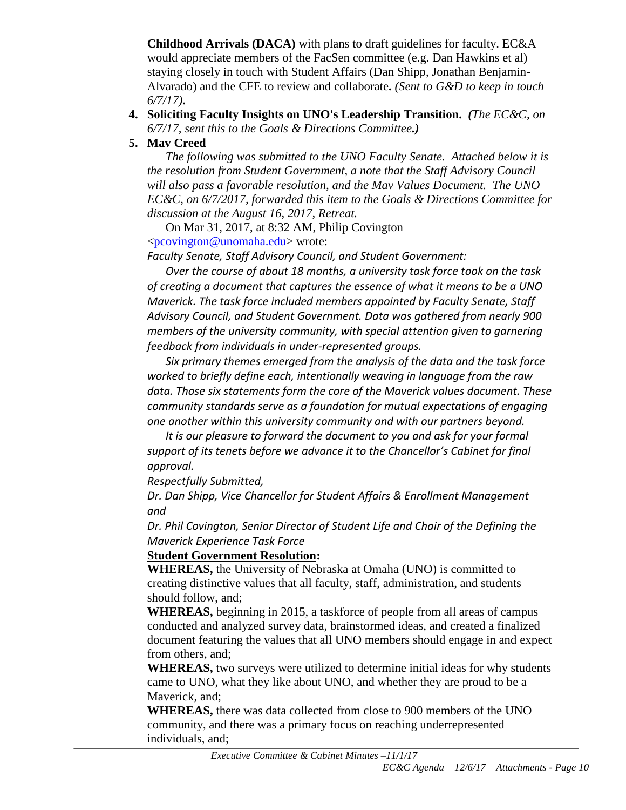**Childhood Arrivals (DACA)** with plans to draft guidelines for faculty. EC&A would appreciate members of the FacSen committee (e.g. Dan Hawkins et al) staying closely in touch with Student Affairs (Dan Shipp, Jonathan Benjamin-Alvarado) and the CFE to review and collaborate**.** *(Sent to G&D to keep in touch 6/7/17)***.**

# **4. Soliciting Faculty Insights on UNO's Leadership Transition.** *(The EC&C, on 6/7/17, sent this to the Goals & Directions Committee.)*

# **5. Mav Creed**

*The following was submitted to the UNO Faculty Senate. Attached below it is the resolution from Student Government, a note that the Staff Advisory Council will also pass a favorable resolution, and the Mav Values Document. The UNO EC&C, on 6/7/2017, forwarded this item to the Goals & Directions Committee for discussion at the August 16, 2017, Retreat.*

On Mar 31, 2017, at 8:32 AM, Philip Covington [<pcovington@unomaha.edu>](mailto:pcovington@unomaha.edu) wrote:

*Faculty Senate, Staff Advisory Council, and Student Government:*

*Over the course of about 18 months, a university task force took on the task of creating a document that captures the essence of what it means to be a UNO Maverick. The task force included members appointed by Faculty Senate, Staff Advisory Council, and Student Government. Data was gathered from nearly 900 members of the university community, with special attention given to garnering feedback from individuals in under-represented groups.*

*Six primary themes emerged from the analysis of the data and the task force worked to briefly define each, intentionally weaving in language from the raw data. Those six statements form the core of the Maverick values document. These community standards serve as a foundation for mutual expectations of engaging one another within this university community and with our partners beyond.*

*It is our pleasure to forward the document to you and ask for your formal support of its tenets before we advance it to the Chancellor's Cabinet for final approval.*

*Respectfully Submitted,*

*Dr. Dan Shipp, Vice Chancellor for Student Affairs & Enrollment Management and*

*Dr. Phil Covington, Senior Director of Student Life and Chair of the Defining the Maverick Experience Task Force*

# **Student Government Resolution:**

**WHEREAS,** the University of Nebraska at Omaha (UNO) is committed to creating distinctive values that all faculty, staff, administration, and students should follow, and;

**WHEREAS,** beginning in 2015, a taskforce of people from all areas of campus conducted and analyzed survey data, brainstormed ideas, and created a finalized document featuring the values that all UNO members should engage in and expect from others, and;

**WHEREAS,** two surveys were utilized to determine initial ideas for why students came to UNO, what they like about UNO, and whether they are proud to be a Maverick, and;

**WHEREAS,** there was data collected from close to 900 members of the UNO community, and there was a primary focus on reaching underrepresented individuals, and;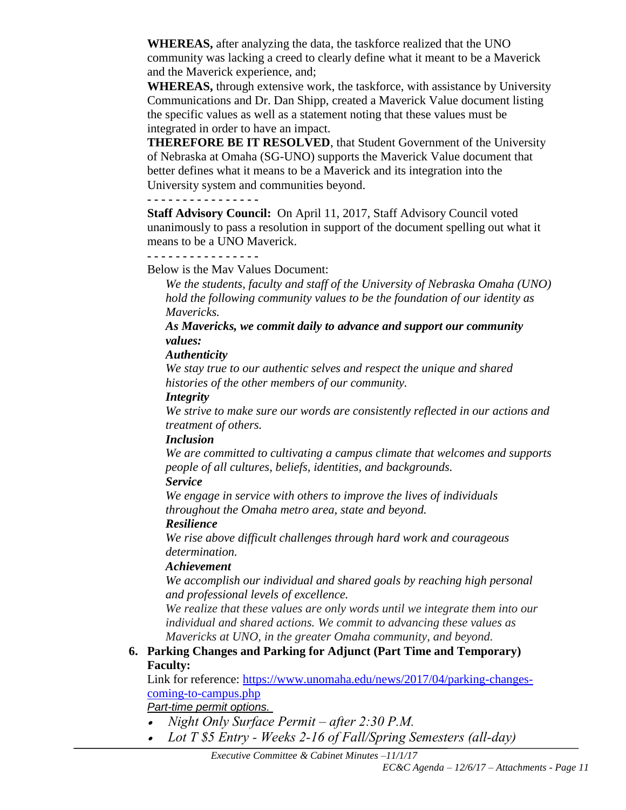**WHEREAS,** after analyzing the data, the taskforce realized that the UNO community was lacking a creed to clearly define what it meant to be a Maverick and the Maverick experience, and;

**WHEREAS,** through extensive work, the taskforce, with assistance by University Communications and Dr. Dan Shipp, created a Maverick Value document listing the specific values as well as a statement noting that these values must be integrated in order to have an impact.

**THEREFORE BE IT RESOLVED**, that Student Government of the University of Nebraska at Omaha (SG-UNO) supports the Maverick Value document that better defines what it means to be a Maverick and its integration into the University system and communities beyond.

### **- - - - - - - - - - - - - - - -**

**Staff Advisory Council:** On April 11, 2017, Staff Advisory Council voted unanimously to pass a resolution in support of the document spelling out what it means to be a UNO Maverick.

# **- - - - - - - - - - - - - - - -**

Below is the Mav Values Document:

*We the students, faculty and staff of the University of Nebraska Omaha (UNO) hold the following community values to be the foundation of our identity as Mavericks.*

*As Mavericks, we commit daily to advance and support our community values:*

### *Authenticity*

*We stay true to our authentic selves and respect the unique and shared histories of the other members of our community.*

### *Integrity*

*We strive to make sure our words are consistently reflected in our actions and treatment of others.*

### *Inclusion*

*We are committed to cultivating a campus climate that welcomes and supports people of all cultures, beliefs, identities, and backgrounds.*

# *Service*

*We engage in service with others to improve the lives of individuals throughout the Omaha metro area, state and beyond.* 

# *Resilience*

*We rise above difficult challenges through hard work and courageous determination.* 

# *Achievement*

*We accomplish our individual and shared goals by reaching high personal and professional levels of excellence.*

*We realize that these values are only words until we integrate them into our individual and shared actions. We commit to advancing these values as Mavericks at UNO, in the greater Omaha community, and beyond.*

# **6. Parking Changes and Parking for Adjunct (Part Time and Temporary) Faculty:**

Link for reference: [https://www.unomaha.edu/news/2017/04/parking-changes](https://www.unomaha.edu/news/2017/04/parking-changes-coming-to-campus.php)[coming-to-campus.php](https://www.unomaha.edu/news/2017/04/parking-changes-coming-to-campus.php)

*Part-time permit options.*

- *Night Only Surface Permit – after 2:30 P.M.*
- *Lot T \$5 Entry - Weeks 2-16 of Fall/Spring Semesters (all-day)*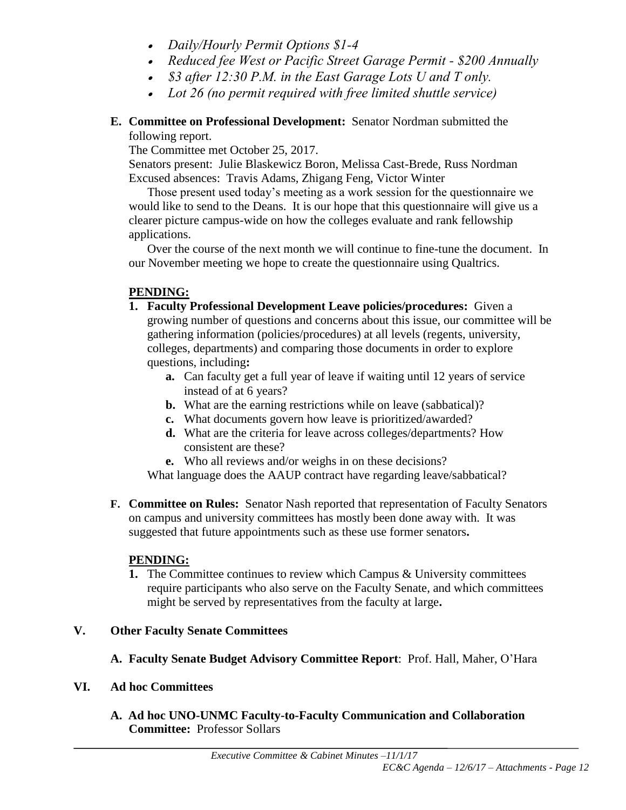- *Daily/Hourly Permit Options \$1-4*
- *Reduced fee West or Pacific Street Garage Permit - \$200 Annually*
- *\$3 after 12:30 P.M. in the East Garage Lots U and T only.*
- *Lot 26 (no permit required with free limited shuttle service)*
- **E. Committee on Professional Development:** Senator Nordman submitted the following report.

The Committee met October 25, 2017.

Senators present: Julie Blaskewicz Boron, Melissa Cast-Brede, Russ Nordman Excused absences: Travis Adams, Zhigang Feng, Victor Winter

Those present used today's meeting as a work session for the questionnaire we would like to send to the Deans. It is our hope that this questionnaire will give us a clearer picture campus-wide on how the colleges evaluate and rank fellowship applications.

Over the course of the next month we will continue to fine-tune the document. In our November meeting we hope to create the questionnaire using Qualtrics.

# **PENDING:**

- **1. Faculty Professional Development Leave policies/procedures:** Given a growing number of questions and concerns about this issue, our committee will be gathering information (policies/procedures) at all levels (regents, university, colleges, departments) and comparing those documents in order to explore questions, including**:** 
	- **a.** Can faculty get a full year of leave if waiting until 12 years of service instead of at 6 years?
	- **b.** What are the earning restrictions while on leave (sabbatical)?
	- **c.** What documents govern how leave is prioritized/awarded?
	- **d.** What are the criteria for leave across colleges/departments? How consistent are these?
	- **e.** Who all reviews and/or weighs in on these decisions?

What language does the AAUP contract have regarding leave/sabbatical?

**F. Committee on Rules:** Senator Nash reported that representation of Faculty Senators on campus and university committees has mostly been done away with. It was suggested that future appointments such as these use former senators**.**

# **PENDING:**

**1.** The Committee continues to review which Campus & University committees require participants who also serve on the Faculty Senate, and which committees might be served by representatives from the faculty at large**.** 

# **V. Other Faculty Senate Committees**

**A. Faculty Senate Budget Advisory Committee Report**: Prof. Hall, Maher, O'Hara

# **VI. Ad hoc Committees**

**A. Ad hoc UNO-UNMC Faculty-to-Faculty Communication and Collaboration Committee:** Professor Sollars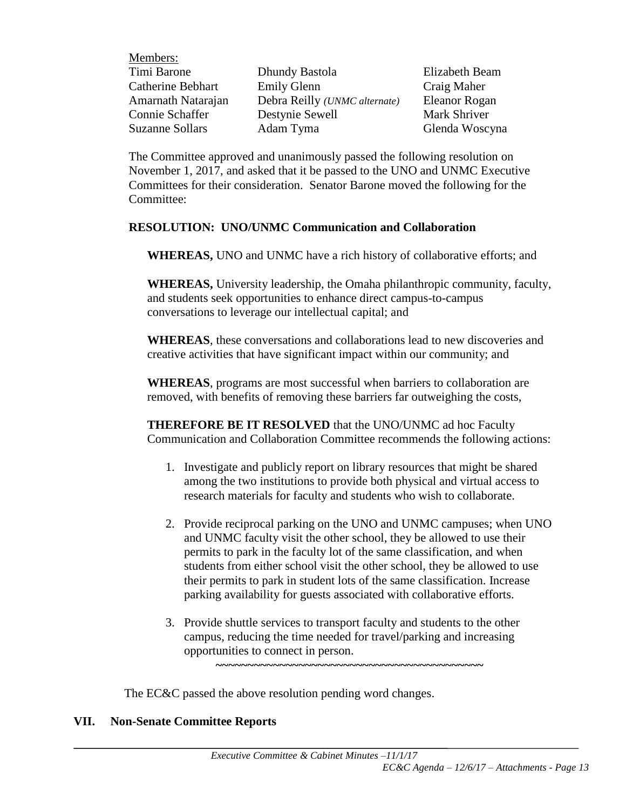| Dhundy Bastola                        | Elizabeth Beam |
|---------------------------------------|----------------|
| <b>Emily Glenn</b>                    | Craig Maher    |
| Debra Reilly ( <i>UNMC</i> alternate) | Eleanor Rogan  |
| Destynie Sewell                       | Mark Shriver   |
| Adam Tyma                             | Glenda Woscyna |
|                                       |                |

The Committee approved and unanimously passed the following resolution on November 1, 2017, and asked that it be passed to the UNO and UNMC Executive Committees for their consideration. Senator Barone moved the following for the Committee:

# **RESOLUTION: UNO/UNMC Communication and Collaboration**

**WHEREAS,** UNO and UNMC have a rich history of collaborative efforts; and

**WHEREAS,** University leadership, the Omaha philanthropic community, faculty, and students seek opportunities to enhance direct campus-to-campus conversations to leverage our intellectual capital; and

**WHEREAS**, these conversations and collaborations lead to new discoveries and creative activities that have significant impact within our community; and

**WHEREAS**, programs are most successful when barriers to collaboration are removed, with benefits of removing these barriers far outweighing the costs,

**THEREFORE BE IT RESOLVED** that the UNO/UNMC ad hoc Faculty Communication and Collaboration Committee recommends the following actions:

- 1. Investigate and publicly report on library resources that might be shared among the two institutions to provide both physical and virtual access to research materials for faculty and students who wish to collaborate.
- 2. Provide reciprocal parking on the UNO and UNMC campuses; when UNO and UNMC faculty visit the other school, they be allowed to use their permits to park in the faculty lot of the same classification, and when students from either school visit the other school, they be allowed to use their permits to park in student lots of the same classification. Increase parking availability for guests associated with collaborative efforts.
- 3. Provide shuttle services to transport faculty and students to the other campus, reducing the time needed for travel/parking and increasing opportunities to connect in person. **~~~~~~~~~~~~~~~~~~~~~~~~~~~~~~~~~~~~~~~~~~**

The EC&C passed the above resolution pending word changes.

# **VII. Non-Senate Committee Reports**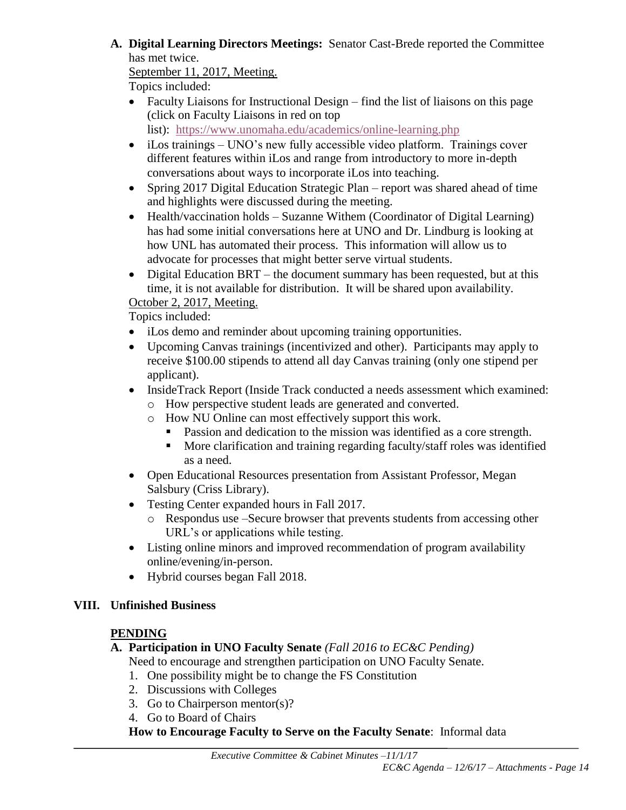**A. Digital Learning Directors Meetings:** Senator Cast-Brede reported the Committee has met twice.

September 11, 2017, Meeting.

Topics included:

 Faculty Liaisons for Instructional Design – find the list of liaisons on this page (click on Faculty Liaisons in red on top

list): <https://www.unomaha.edu/academics/online-learning.php>

- iLos trainings UNO's new fully accessible video platform. Trainings cover different features within iLos and range from introductory to more in-depth conversations about ways to incorporate iLos into teaching.
- Spring 2017 Digital Education Strategic Plan report was shared ahead of time and highlights were discussed during the meeting.
- Health/vaccination holds Suzanne Withem (Coordinator of Digital Learning) has had some initial conversations here at UNO and Dr. Lindburg is looking at how UNL has automated their process. This information will allow us to advocate for processes that might better serve virtual students.
- Digital Education BRT the document summary has been requested, but at this time, it is not available for distribution. It will be shared upon availability.

October 2, 2017, Meeting.

Topics included:

- iLos demo and reminder about upcoming training opportunities.
- Upcoming Canvas trainings (incentivized and other). Participants may apply to receive \$100.00 stipends to attend all day Canvas training (only one stipend per applicant).
- InsideTrack Report (Inside Track conducted a needs assessment which examined:
	- o How perspective student leads are generated and converted.
	- o How NU Online can most effectively support this work.
		- Passion and dedication to the mission was identified as a core strength.
		- More clarification and training regarding faculty/staff roles was identified as a need.
- Open Educational Resources presentation from Assistant Professor, Megan Salsbury (Criss Library).
- Testing Center expanded hours in Fall 2017.
	- o Respondus use –Secure browser that prevents students from accessing other URL's or applications while testing.
- Listing online minors and improved recommendation of program availability online/evening/in-person.
- Hybrid courses began Fall 2018.

# **VIII. Unfinished Business**

# **PENDING**

# **A. Participation in UNO Faculty Senate** *(Fall 2016 to EC&C Pending)*

Need to encourage and strengthen participation on UNO Faculty Senate.

- 1. One possibility might be to change the FS Constitution
- 2. Discussions with Colleges
- 3. Go to Chairperson mentor(s)?
- 4. Go to Board of Chairs

**How to Encourage Faculty to Serve on the Faculty Senate**: Informal data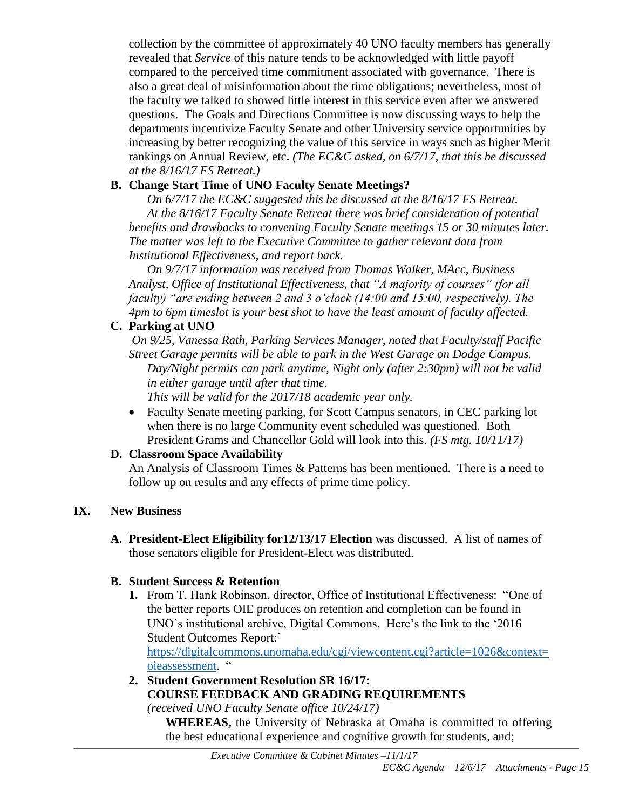collection by the committee of approximately 40 UNO faculty members has generally revealed that *Service* of this nature tends to be acknowledged with little payoff compared to the perceived time commitment associated with governance. There is also a great deal of misinformation about the time obligations; nevertheless, most of the faculty we talked to showed little interest in this service even after we answered questions. The Goals and Directions Committee is now discussing ways to help the departments incentivize Faculty Senate and other University service opportunities by increasing by better recognizing the value of this service in ways such as higher Merit rankings on Annual Review, etc**.** *(The EC&C asked, on 6/7/17, that this be discussed at the 8/16/17 FS Retreat.)*

# **B. Change Start Time of UNO Faculty Senate Meetings?**

*On 6/7/17 the EC&C suggested this be discussed at the 8/16/17 FS Retreat. At the 8/16/17 Faculty Senate Retreat there was brief consideration of potential benefits and drawbacks to convening Faculty Senate meetings 15 or 30 minutes later. The matter was left to the Executive Committee to gather relevant data from Institutional Effectiveness, and report back.*

*On 9/7/17 information was received from Thomas Walker, MAcc, Business Analyst, Office of Institutional Effectiveness, that "A majority of courses" (for all faculty) "are ending between 2 and 3 o'clock (14:00 and 15:00, respectively). The 4pm to 6pm timeslot is your best shot to have the least amount of faculty affected.*

# **C. Parking at UNO**

*On 9/25, Vanessa Rath, Parking Services Manager, noted that Faculty/staff Pacific Street Garage permits will be able to park in the West Garage on Dodge Campus. Day/Night permits can park anytime, Night only (after 2:30pm) will not be valid in either garage until after that time.*

*This will be valid for the 2017/18 academic year only.*

 Faculty Senate meeting parking, for Scott Campus senators, in CEC parking lot when there is no large Community event scheduled was questioned. Both President Grams and Chancellor Gold will look into this. *(FS mtg. 10/11/17)*

# **D. Classroom Space Availability**

An Analysis of Classroom Times & Patterns has been mentioned. There is a need to follow up on results and any effects of prime time policy.

# **IX. New Business**

**A. President-Elect Eligibility for12/13/17 Election** was discussed. A list of names of those senators eligible for President-Elect was distributed.

# **B. Student Success & Retention**

**1.** From T. Hank Robinson, director, Office of Institutional Effectiveness: "One of the better reports OIE produces on retention and completion can be found in UNO's institutional archive, Digital Commons. Here's the link to the '2016 Student Outcomes Report:'

[https://digitalcommons.unomaha.edu/cgi/viewcontent.cgi?article=1026&context=](https://digitalcommons.unomaha.edu/cgi/viewcontent.cgi?article=1026&context=oieassessment) [oieassessment.](https://digitalcommons.unomaha.edu/cgi/viewcontent.cgi?article=1026&context=oieassessment) "

**2. Student Government Resolution SR 16/17: COURSE FEEDBACK AND GRADING REQUIREMENTS** 

*(received UNO Faculty Senate office 10/24/17)*

**WHEREAS,** the University of Nebraska at Omaha is committed to offering the best educational experience and cognitive growth for students, and;